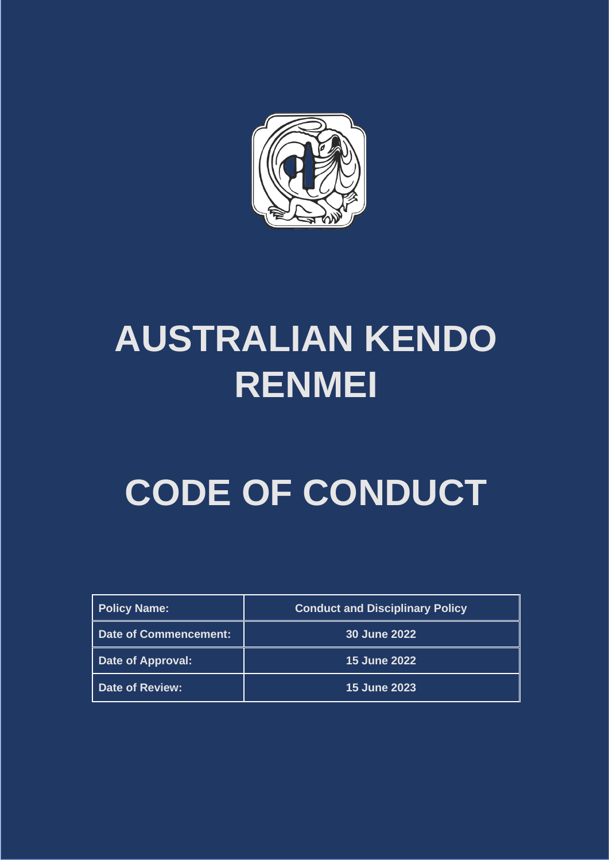

# **AUSTRALIAN KENDO RENMEI**

# **CODE OF CONDUCT**

| <b>Policy Name:</b>          | <b>Conduct and Disciplinary Policy</b> |
|------------------------------|----------------------------------------|
| <b>Date of Commencement:</b> | 30 June 2022                           |
| Date of Approval:            | <b>15 June 2022</b>                    |
| <b>Date of Review:</b>       | <b>15 June 2023</b>                    |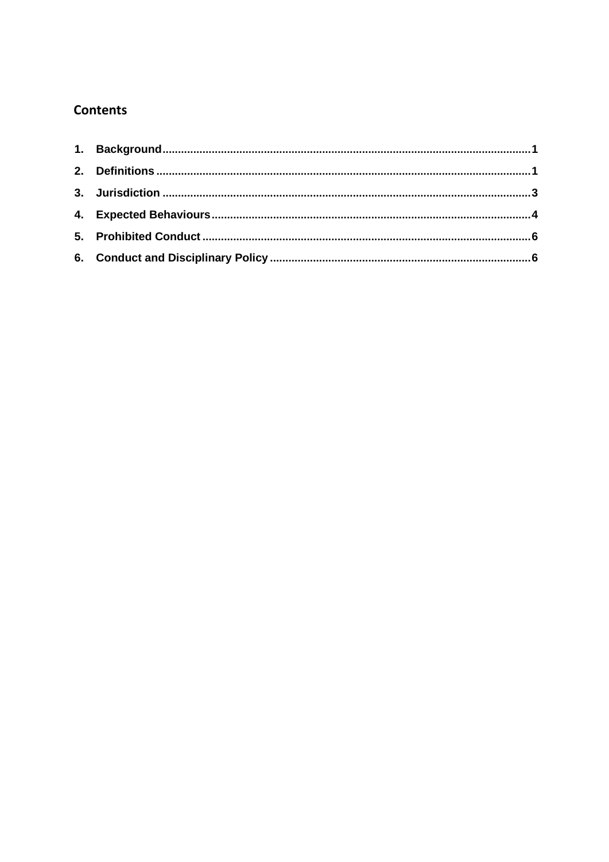# **Contents**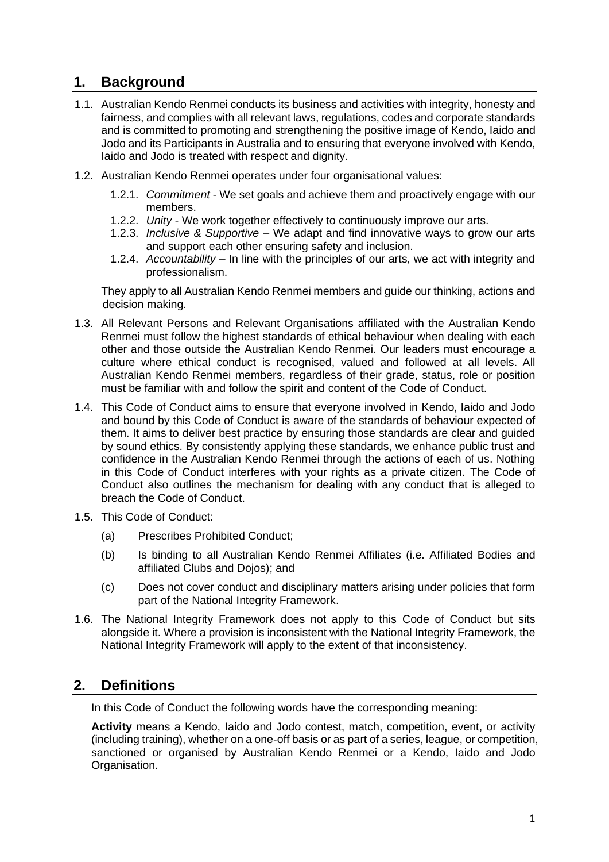# <span id="page-2-0"></span>**1. Background**

- 1.1. Australian Kendo Renmei conducts its business and activities with integrity, honesty and fairness, and complies with all relevant laws, regulations, codes and corporate standards and is committed to promoting and strengthening the positive image of Kendo, Iaido and Jodo and its Participants in Australia and to ensuring that everyone involved with Kendo, Iaido and Jodo is treated with respect and dignity.
- 1.2. Australian Kendo Renmei operates under four organisational values:
	- 1.2.1. *Commitment* We set goals and achieve them and proactively engage with our members.
	- 1.2.2. *Unity* We work together effectively to continuously improve our arts.
	- 1.2.3. *Inclusive & Supportive* We adapt and find innovative ways to grow our arts and support each other ensuring safety and inclusion.
	- 1.2.4. *Accountability* In line with the principles of our arts, we act with integrity and professionalism.

They apply to all Australian Kendo Renmei members and guide our thinking, actions and decision making.

- 1.3. All Relevant Persons and Relevant Organisations affiliated with the Australian Kendo Renmei must follow the highest standards of ethical behaviour when dealing with each other and those outside the Australian Kendo Renmei. Our leaders must encourage a culture where ethical conduct is recognised, valued and followed at all levels. All Australian Kendo Renmei members, regardless of their grade, status, role or position must be familiar with and follow the spirit and content of the Code of Conduct.
- 1.4. This Code of Conduct aims to ensure that everyone involved in Kendo, Iaido and Jodo and bound by this Code of Conduct is aware of the standards of behaviour expected of them. It aims to deliver best practice by ensuring those standards are clear and guided by sound ethics. By consistently applying these standards, we enhance public trust and confidence in the Australian Kendo Renmei through the actions of each of us. Nothing in this Code of Conduct interferes with your rights as a private citizen. The Code of Conduct also outlines the mechanism for dealing with any conduct that is alleged to breach the Code of Conduct.
- 1.5. This Code of Conduct:
	- (a) Prescribes Prohibited Conduct;
	- (b) Is binding to all Australian Kendo Renmei Affiliates (i.e. Affiliated Bodies and affiliated Clubs and Dojos); and
	- (c) Does not cover conduct and disciplinary matters arising under policies that form part of the National Integrity Framework.
- 1.6. The National Integrity Framework does not apply to this Code of Conduct but sits alongside it. Where a provision is inconsistent with the National Integrity Framework, the National Integrity Framework will apply to the extent of that inconsistency.

# <span id="page-2-1"></span>**2. Definitions**

In this Code of Conduct the following words have the corresponding meaning:

**Activity** means a Kendo, Iaido and Jodo contest, match, competition, event, or activity (including training), whether on a one-off basis or as part of a series, league, or competition, sanctioned or organised by Australian Kendo Renmei or a Kendo, Iaido and Jodo Organisation.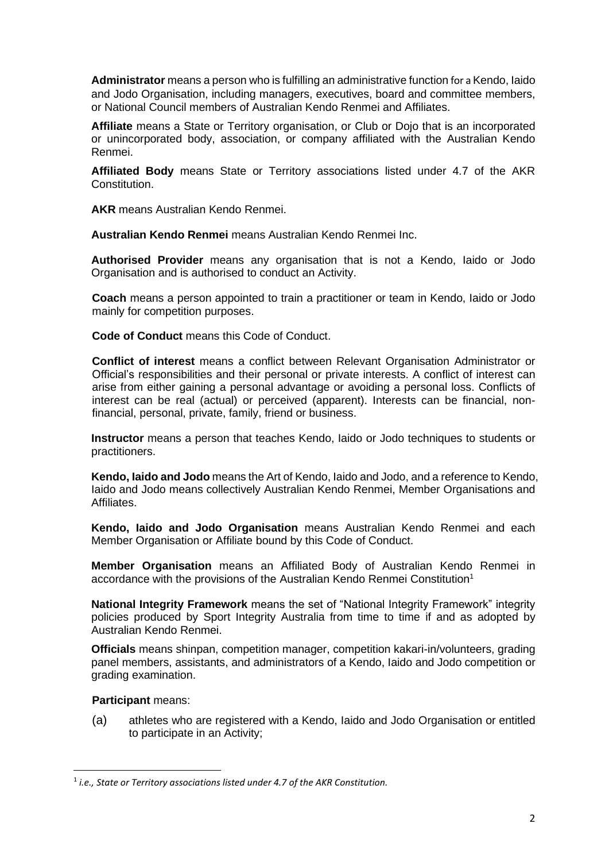**Administrator** means a person who is fulfilling an administrative function for a Kendo, Iaido and Jodo Organisation, including managers, executives, board and committee members, or National Council members of Australian Kendo Renmei and Affiliates.

**Affiliate** means a State or Territory organisation, or Club or Dojo that is an incorporated or unincorporated body, association, or company affiliated with the Australian Kendo Renmei.

**Affiliated Body** means State or Territory associations listed under 4.7 of the AKR Constitution.

**AKR** means Australian Kendo Renmei.

**Australian Kendo Renmei** means Australian Kendo Renmei Inc.

**Authorised Provider** means any organisation that is not a Kendo, Iaido or Jodo Organisation and is authorised to conduct an Activity.

**Coach** means a person appointed to train a practitioner or team in Kendo, Iaido or Jodo mainly for competition purposes.

**Code of Conduct** means this Code of Conduct.

**Conflict of interest** means a conflict between Relevant Organisation Administrator or Official's responsibilities and their personal or private interests. A conflict of interest can arise from either gaining a personal advantage or avoiding a personal loss. Conflicts of interest can be real (actual) or perceived (apparent). Interests can be financial, nonfinancial, personal, private, family, friend or business.

**Instructor** means a person that teaches Kendo, Iaido or Jodo techniques to students or practitioners.

**Kendo, Iaido and Jodo** means the Art of Kendo, Iaido and Jodo, and a reference to Kendo, Iaido and Jodo means collectively Australian Kendo Renmei, Member Organisations and Affiliates.

**Kendo, Iaido and Jodo Organisation** means Australian Kendo Renmei and each Member Organisation or Affiliate bound by this Code of Conduct.

**Member Organisation** means an Affiliated Body of Australian Kendo Renmei in accordance with the provisions of the Australian Kendo Renmei Constitution<sup>1</sup>

**National Integrity Framework** means the set of "National Integrity Framework" integrity policies produced by Sport Integrity Australia from time to time if and as adopted by Australian Kendo Renmei.

**Officials** means shinpan, competition manager, competition kakari-in/volunteers, grading panel members, assistants, and administrators of a Kendo, Iaido and Jodo competition or grading examination.

### **Participant** means:

(a) athletes who are registered with a Kendo, Iaido and Jodo Organisation or entitled to participate in an Activity;

<sup>1</sup> *i.e., State or Territory associations listed under 4.7 of the AKR Constitution.*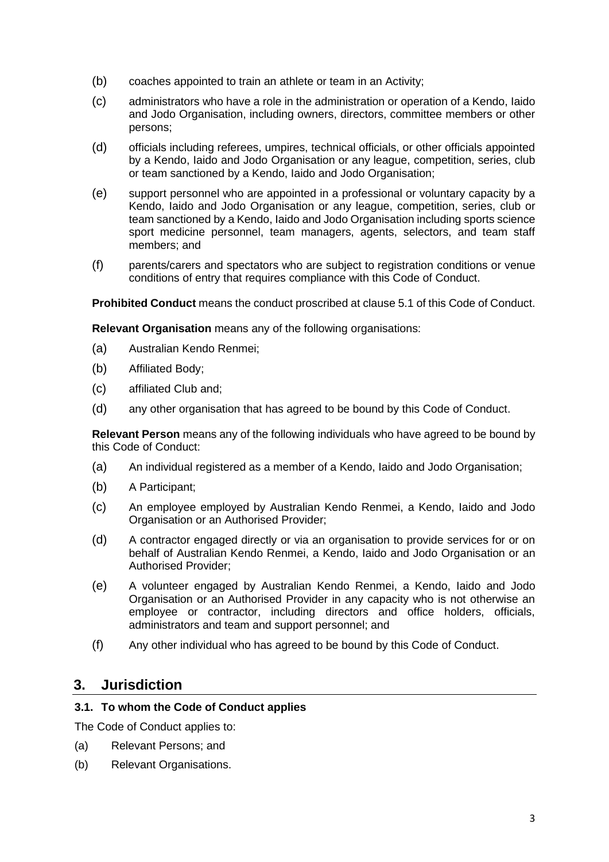- (b) coaches appointed to train an athlete or team in an Activity;
- (c) administrators who have a role in the administration or operation of a Kendo, Iaido and Jodo Organisation, including owners, directors, committee members or other persons;
- (d) officials including referees, umpires, technical officials, or other officials appointed by a Kendo, Iaido and Jodo Organisation or any league, competition, series, club or team sanctioned by a Kendo, Iaido and Jodo Organisation;
- (e) support personnel who are appointed in a professional or voluntary capacity by a Kendo, Iaido and Jodo Organisation or any league, competition, series, club or team sanctioned by a Kendo, Iaido and Jodo Organisation including sports science sport medicine personnel, team managers, agents, selectors, and team staff members; and
- (f) parents/carers and spectators who are subject to registration conditions or venue conditions of entry that requires compliance with this Code of Conduct.

**Prohibited Conduct** means the conduct proscribed at clause 5.1 of this Code of Conduct.

**Relevant Organisation** means any of the following organisations:

- (a) Australian Kendo Renmei;
- (b) Affiliated Body;
- (c) affiliated Club and;
- (d) any other organisation that has agreed to be bound by this Code of Conduct.

**Relevant Person** means any of the following individuals who have agreed to be bound by this Code of Conduct:

- (a) An individual registered as a member of a Kendo, Iaido and Jodo Organisation;
- (b) A Participant;
- (c) An employee employed by Australian Kendo Renmei, a Kendo, Iaido and Jodo Organisation or an Authorised Provider;
- (d) A contractor engaged directly or via an organisation to provide services for or on behalf of Australian Kendo Renmei, a Kendo, Iaido and Jodo Organisation or an Authorised Provider;
- (e) A volunteer engaged by Australian Kendo Renmei, a Kendo, Iaido and Jodo Organisation or an Authorised Provider in any capacity who is not otherwise an employee or contractor, including directors and office holders, officials, administrators and team and support personnel; and
- (f) Any other individual who has agreed to be bound by this Code of Conduct.

# <span id="page-4-0"></span>**3. Jurisdiction**

### **3.1. To whom the Code of Conduct applies**

The Code of Conduct applies to:

- (a) Relevant Persons; and
- (b) Relevant Organisations.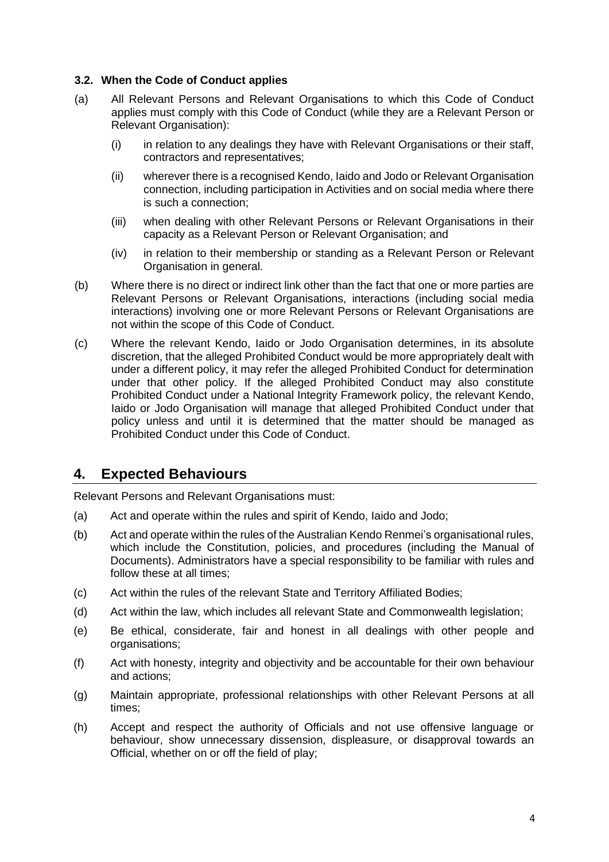#### **3.2. When the Code of Conduct applies**

- (a) All Relevant Persons and Relevant Organisations to which this Code of Conduct applies must comply with this Code of Conduct (while they are a Relevant Person or Relevant Organisation):
	- (i) in relation to any dealings they have with Relevant Organisations or their staff, contractors and representatives;
	- (ii) wherever there is a recognised Kendo, Iaido and Jodo or Relevant Organisation connection, including participation in Activities and on social media where there is such a connection;
	- (iii) when dealing with other Relevant Persons or Relevant Organisations in their capacity as a Relevant Person or Relevant Organisation; and
	- (iv) in relation to their membership or standing as a Relevant Person or Relevant Organisation in general.
- (b) Where there is no direct or indirect link other than the fact that one or more parties are Relevant Persons or Relevant Organisations, interactions (including social media interactions) involving one or more Relevant Persons or Relevant Organisations are not within the scope of this Code of Conduct.
- (c) Where the relevant Kendo, Iaido or Jodo Organisation determines, in its absolute discretion, that the alleged Prohibited Conduct would be more appropriately dealt with under a different policy, it may refer the alleged Prohibited Conduct for determination under that other policy. If the alleged Prohibited Conduct may also constitute Prohibited Conduct under a National Integrity Framework policy, the relevant Kendo, Iaido or Jodo Organisation will manage that alleged Prohibited Conduct under that policy unless and until it is determined that the matter should be managed as Prohibited Conduct under this Code of Conduct.

## <span id="page-5-0"></span>**4. Expected Behaviours**

Relevant Persons and Relevant Organisations must:

- (a) Act and operate within the rules and spirit of Kendo, Iaido and Jodo;
- (b) Act and operate within the rules of the Australian Kendo Renmei's organisational rules, which include the Constitution, policies, and procedures (including the Manual of Documents). Administrators have a special responsibility to be familiar with rules and follow these at all times;
- (c) Act within the rules of the relevant State and Territory Affiliated Bodies;
- (d) Act within the law, which includes all relevant State and Commonwealth legislation;
- (e) Be ethical, considerate, fair and honest in all dealings with other people and organisations;
- (f) Act with honesty, integrity and objectivity and be accountable for their own behaviour and actions;
- (g) Maintain appropriate, professional relationships with other Relevant Persons at all times;
- (h) Accept and respect the authority of Officials and not use offensive language or behaviour, show unnecessary dissension, displeasure, or disapproval towards an Official, whether on or off the field of play;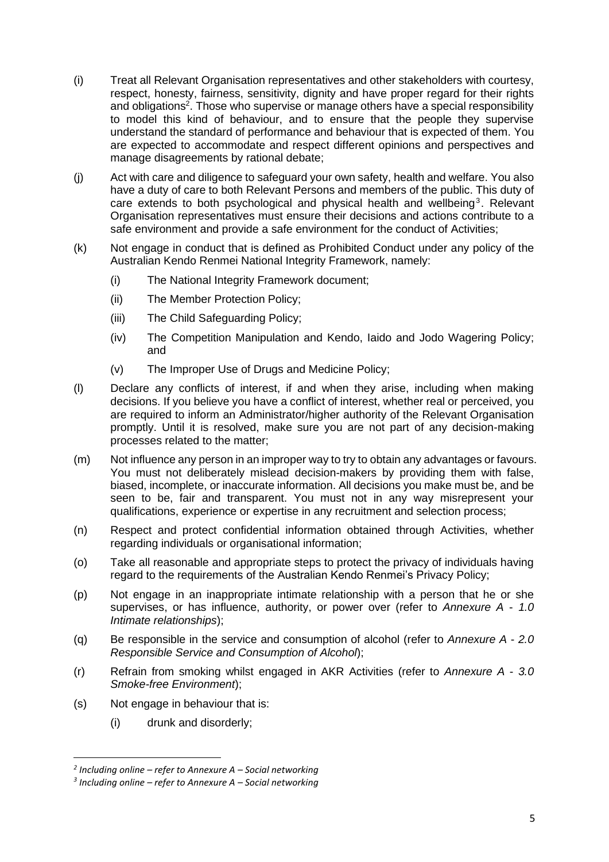- (i) Treat all Relevant Organisation representatives and other stakeholders with courtesy, respect, honesty, fairness, sensitivity, dignity and have proper regard for their rights and obligations<sup>2</sup>. Those who supervise or manage others have a special responsibility to model this kind of behaviour, and to ensure that the people they supervise understand the standard of performance and behaviour that is expected of them. You are expected to accommodate and respect different opinions and perspectives and manage disagreements by rational debate;
- (j) Act with care and diligence to safeguard your own safety, health and welfare. You also have a duty of care to both Relevant Persons and members of the public. This duty of care extends to both psychological and physical health and wellbeing<sup>3</sup>. Relevant Organisation representatives must ensure their decisions and actions contribute to a safe environment and provide a safe environment for the conduct of Activities;
- (k) Not engage in conduct that is defined as Prohibited Conduct under any policy of the Australian Kendo Renmei National Integrity Framework, namely:
	- (i) The National Integrity Framework document;
	- (ii) The Member Protection Policy;
	- (iii) The Child Safeguarding Policy;
	- (iv) The Competition Manipulation and Kendo, Iaido and Jodo Wagering Policy; and
	- (v) The Improper Use of Drugs and Medicine Policy;
- (l) Declare any conflicts of interest, if and when they arise, including when making decisions. If you believe you have a conflict of interest, whether real or perceived, you are required to inform an Administrator/higher authority of the Relevant Organisation promptly. Until it is resolved, make sure you are not part of any decision-making processes related to the matter;
- (m) Not influence any person in an improper way to try to obtain any advantages or favours. You must not deliberately mislead decision-makers by providing them with false, biased, incomplete, or inaccurate information. All decisions you make must be, and be seen to be, fair and transparent. You must not in any way misrepresent your qualifications, experience or expertise in any recruitment and selection process;
- (n) Respect and protect confidential information obtained through Activities, whether regarding individuals or organisational information;
- (o) Take all reasonable and appropriate steps to protect the privacy of individuals having regard to the requirements of the Australian Kendo Renmei's Privacy Policy;
- (p) Not engage in an inappropriate intimate relationship with a person that he or she supervises, or has influence, authority, or power over (refer to *Annexure A* - *1.0 Intimate relationships*);
- (q) Be responsible in the service and consumption of alcohol (refer to *Annexure A 2.0 Responsible Service and Consumption of Alcohol*);
- (r) Refrain from smoking whilst engaged in AKR Activities (refer to *Annexure A 3.0 Smoke-free Environment*);
- (s) Not engage in behaviour that is:
	- (i) drunk and disorderly;

*<sup>2</sup> Including online – refer to Annexure A – Social networking*

*<sup>3</sup> Including online – refer to Annexure A – Social networking*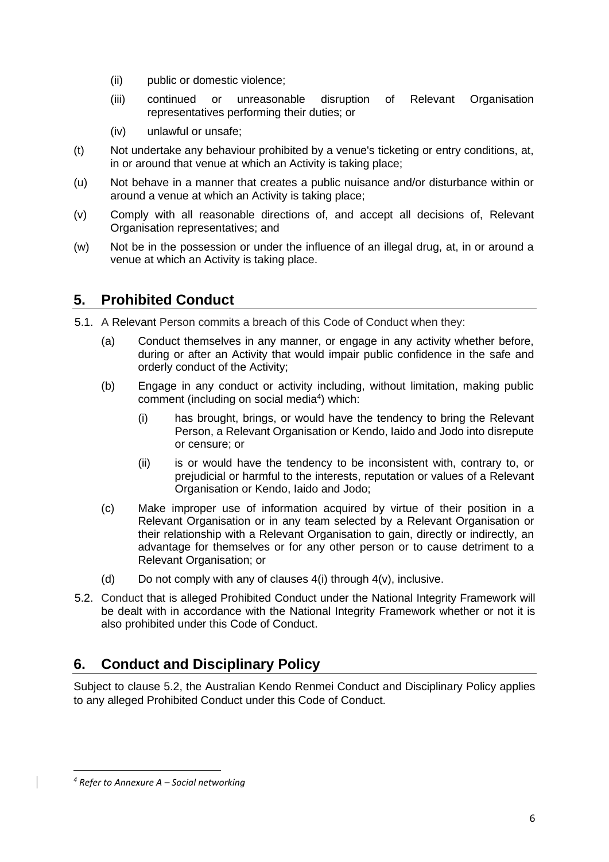- (ii) public or domestic violence;
- (iii) continued or unreasonable disruption of Relevant Organisation representatives performing their duties; or
- (iv) unlawful or unsafe;
- (t) Not undertake any behaviour prohibited by a venue's ticketing or entry conditions, at, in or around that venue at which an Activity is taking place;
- (u) Not behave in a manner that creates a public nuisance and/or disturbance within or around a venue at which an Activity is taking place;
- (v) Comply with all reasonable directions of, and accept all decisions of, Relevant Organisation representatives; and
- (w) Not be in the possession or under the influence of an illegal drug, at, in or around a venue at which an Activity is taking place.

# <span id="page-7-0"></span>**5. Prohibited Conduct**

- 5.1. A Relevant Person commits a breach of this Code of Conduct when they:
	- (a) Conduct themselves in any manner, or engage in any activity whether before, during or after an Activity that would impair public confidence in the safe and orderly conduct of the Activity;
	- (b) Engage in any conduct or activity including, without limitation, making public comment (including on social media<sup>4</sup>) which:
		- (i) has brought, brings, or would have the tendency to bring the Relevant Person, a Relevant Organisation or Kendo, Iaido and Jodo into disrepute or censure; or
		- (ii) is or would have the tendency to be inconsistent with, contrary to, or prejudicial or harmful to the interests, reputation or values of a Relevant Organisation or Kendo, Iaido and Jodo;
	- (c) Make improper use of information acquired by virtue of their position in a Relevant Organisation or in any team selected by a Relevant Organisation or their relationship with a Relevant Organisation to gain, directly or indirectly, an advantage for themselves or for any other person or to cause detriment to a Relevant Organisation; or
	- (d) Do not comply with any of clauses  $4(i)$  through  $4(v)$ , inclusive.
- 5.2. Conduct that is alleged Prohibited Conduct under the National Integrity Framework will be dealt with in accordance with the National Integrity Framework whether or not it is also prohibited under this Code of Conduct.

# <span id="page-7-1"></span>**6. Conduct and Disciplinary Policy**

Subject to clause 5.2, the Australian Kendo Renmei Conduct and Disciplinary Policy applies to any alleged Prohibited Conduct under this Code of Conduct.

*<sup>4</sup> Refer to Annexure A – Social networking*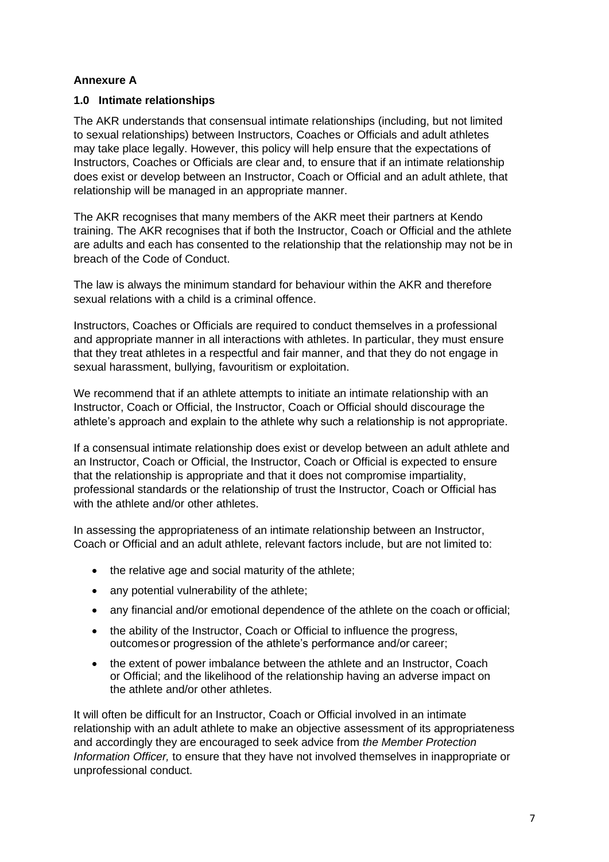## **Annexure A**

## **1.0 Intimate relationships**

The AKR understands that consensual intimate relationships (including, but not limited to sexual relationships) between Instructors, Coaches or Officials and adult athletes may take place legally. However, this policy will help ensure that the expectations of Instructors, Coaches or Officials are clear and, to ensure that if an intimate relationship does exist or develop between an Instructor, Coach or Official and an adult athlete, that relationship will be managed in an appropriate manner.

The AKR recognises that many members of the AKR meet their partners at Kendo training. The AKR recognises that if both the Instructor, Coach or Official and the athlete are adults and each has consented to the relationship that the relationship may not be in breach of the Code of Conduct.

The law is always the minimum standard for behaviour within the AKR and therefore sexual relations with a child is a criminal offence.

Instructors, Coaches or Officials are required to conduct themselves in a professional and appropriate manner in all interactions with athletes. In particular, they must ensure that they treat athletes in a respectful and fair manner, and that they do not engage in sexual harassment, bullying, favouritism or exploitation.

We recommend that if an athlete attempts to initiate an intimate relationship with an Instructor, Coach or Official, the Instructor, Coach or Official should discourage the athlete's approach and explain to the athlete why such a relationship is not appropriate.

If a consensual intimate relationship does exist or develop between an adult athlete and an Instructor, Coach or Official, the Instructor, Coach or Official is expected to ensure that the relationship is appropriate and that it does not compromise impartiality, professional standards or the relationship of trust the Instructor, Coach or Official has with the athlete and/or other athletes.

In assessing the appropriateness of an intimate relationship between an Instructor, Coach or Official and an adult athlete, relevant factors include, but are not limited to:

- the relative age and social maturity of the athlete;
- any potential vulnerability of the athlete:
- any financial and/or emotional dependence of the athlete on the coach or official;
- the ability of the Instructor, Coach or Official to influence the progress, outcomesor progression of the athlete's performance and/or career;
- the extent of power imbalance between the athlete and an Instructor, Coach or Official; and the likelihood of the relationship having an adverse impact on the athlete and/or other athletes.

It will often be difficult for an Instructor, Coach or Official involved in an intimate relationship with an adult athlete to make an objective assessment of its appropriateness and accordingly they are encouraged to seek advice from *the Member Protection Information Officer,* to ensure that they have not involved themselves in inappropriate or unprofessional conduct.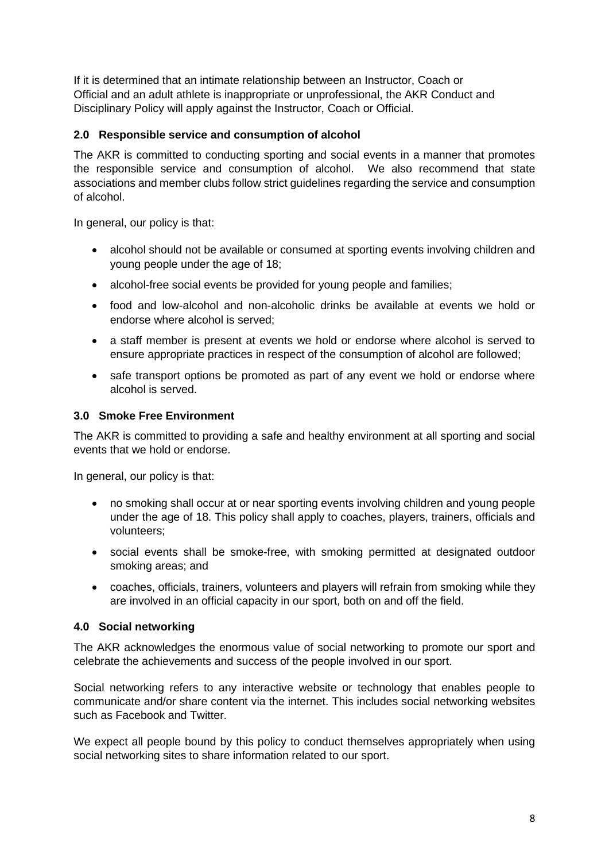If it is determined that an intimate relationship between an Instructor, Coach or Official and an adult athlete is inappropriate or unprofessional, the AKR Conduct and Disciplinary Policy will apply against the Instructor, Coach or Official.

## **2.0 Responsible service and consumption of alcohol**

The AKR is committed to conducting sporting and social events in a manner that promotes the responsible service and consumption of alcohol. We also recommend that state associations and member clubs follow strict guidelines regarding the service and consumption of alcohol.

In general, our policy is that:

- alcohol should not be available or consumed at sporting events involving children and young people under the age of 18;
- alcohol-free social events be provided for young people and families;
- food and low-alcohol and non-alcoholic drinks be available at events we hold or endorse where alcohol is served;
- a staff member is present at events we hold or endorse where alcohol is served to ensure appropriate practices in respect of the consumption of alcohol are followed;
- safe transport options be promoted as part of any event we hold or endorse where alcohol is served.

## **3.0 Smoke Free Environment**

The AKR is committed to providing a safe and healthy environment at all sporting and social events that we hold or endorse.

In general, our policy is that:

- no smoking shall occur at or near sporting events involving children and young people under the age of 18. This policy shall apply to coaches, players, trainers, officials and volunteers;
- social events shall be smoke-free, with smoking permitted at designated outdoor smoking areas; and
- coaches, officials, trainers, volunteers and players will refrain from smoking while they are involved in an official capacity in our sport, both on and off the field.

### **4.0 Social networking**

The AKR acknowledges the enormous value of social networking to promote our sport and celebrate the achievements and success of the people involved in our sport.

Social networking refers to any interactive website or technology that enables people to communicate and/or share content via the internet. This includes social networking websites such as Facebook and Twitter.

We expect all people bound by this policy to conduct themselves appropriately when using social networking sites to share information related to our sport.